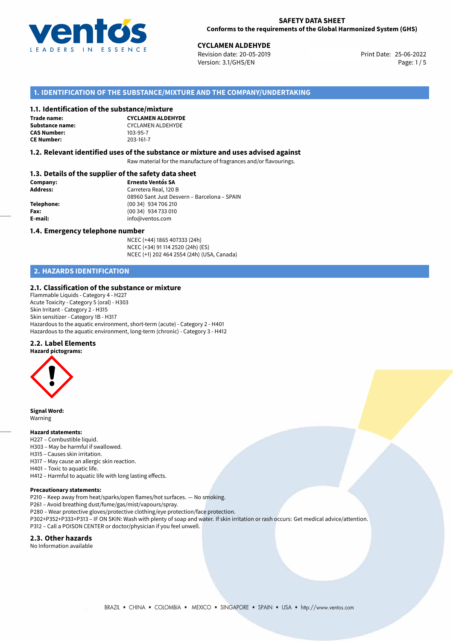

25-06-2022 **CYCLAMEN ALDEHYDE** Revision date: 20-05-2019 Print Date: Version: 3.1/GHS/EN Page: 1 / 5

#### **1. IDENTIFICATION OF THE SUBSTANCE/MIXTURE AND THE COMPANY/UNDERTAKING**

#### **1.1. Identification of the substance/mixture**

**Trade name: CAS Number: CE Number:** 203-161-7

**CYCLAMEN ALDEHYDE Substance name:** CYCLAMEN ALDEHYDE<br> **CAS Number:** 103-95-7

#### **1.2. Relevant identified uses of the substance or mixture and uses advised against**

Raw material for the manufacture of fragrances and/or flavourings.

#### **1.3. Details of the supplier of the safety data sheet**

| Company:        | <b>Ernesto Ventós SA</b>                    |
|-----------------|---------------------------------------------|
| <b>Address:</b> | Carretera Real, 120 B                       |
|                 | 08960 Sant Just Desvern - Barcelona - SPAIN |
| Telephone:      | (00 34) 934 706 210                         |
| Fax:            | (00 34) 934 733 010                         |
| E-mail:         | info@ventos.com                             |
|                 |                                             |

#### **1.4. Emergency telephone number**

NCEC (+44) 1865 407333 (24h) NCEC (+34) 91 114 2520 (24h) (ES) NCEC (+1) 202 464 2554 (24h) (USA, Canada)

## **2. HAZARDS IDENTIFICATION**

#### **2.1. Classification of the substance or mixture**

Flammable Liquids - Category 4 - H227 Acute Toxicity - Category 5 (oral) - H303 Skin Irritant - Category 2 - H315 Skin sensitizer - Category 1B - H317 Hazardous to the aquatic environment, short-term (acute) - Category 2 - H401 Hazardous to the aquatic environment, long-term (chronic) - Category 3 - H412

#### **2.2. Label Elements**

**Hazard pictograms:**



**Signal Word:** Warning

#### **Hazard statements:**

- H227 Combustible liquid.
- H303 May be harmful if swallowed.
- H315 Causes skin irritation.
- H317 May cause an allergic skin reaction.
- H401 Toxic to aquatic life.
- H412 Harmful to aquatic life with long lasting effects.

#### **Precautionary statements:**

P210 – Keep away from heat/sparks/open flames/hot surfaces. — No smoking.

P261 – Avoid breathing dust/fume/gas/mist/vapours/spray.

- P280 Wear protective gloves/protective clothing/eye protection/face protection.
- P302+P352+P333+P313 IF ON SKIN: Wash with plenty of soap and water. If skin irritation or rash occurs: Get medical advice/attention. P312 – Call a POISON CENTER or doctor/physician if you feel unwell.

#### **2.3. Other hazards**

No Information available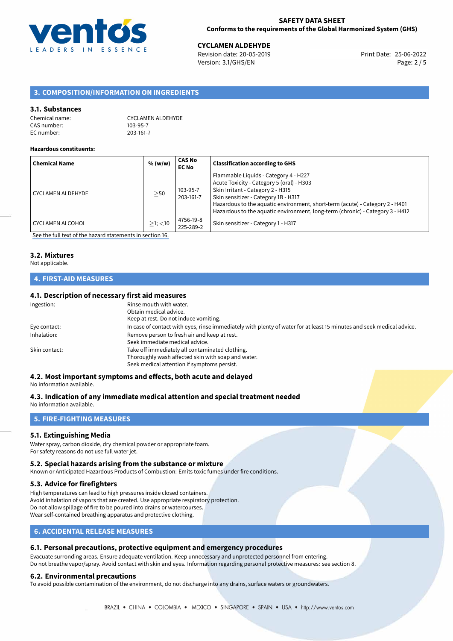

25-06-2022 **CYCLAMEN ALDEHYDE** Revision date: 20-05-2019 Print Date: Version: 3.1/GHS/EN Page: 2 / 5

## **3. COMPOSITION/INFORMATION ON INGREDIENTS**

#### **3.1. Substances**

| Chemical name: | <b>CYCLAMEN ALDEHYDE</b> |
|----------------|--------------------------|
| CAS number:    | 103-95-7                 |
| EC number:     | 203-161-7                |

#### **Hazardous constituents:**

| <b>Chemical Name</b>     | % (w/w)       | <b>CAS No</b><br><b>EC No</b> | <b>Classification according to GHS</b>                                                                                                                                                                                                                                                                                           |
|--------------------------|---------------|-------------------------------|----------------------------------------------------------------------------------------------------------------------------------------------------------------------------------------------------------------------------------------------------------------------------------------------------------------------------------|
| <b>CYCLAMEN ALDEHYDE</b> | >50           | 103-95-7<br>203-161-7         | Flammable Liquids - Category 4 - H227<br>Acute Toxicity - Category 5 (oral) - H303<br>Skin Irritant - Category 2 - H315<br>Skin sensitizer - Category 1B - H317<br>Hazardous to the aquatic environment, short-term (acute) - Category 2 - H401<br>Hazardous to the aquatic environment, long-term (chronic) - Category 3 - H412 |
| <b>CYCLAMEN ALCOHOL</b>  | $>1$ ; $<$ 10 | 4756-19-8<br>225-289-2        | Skin sensitizer - Category 1 - H317                                                                                                                                                                                                                                                                                              |

[See the full text of the hazard statements in section 16.](#page-4-0)

# **3.2. Mixtures**

#### Not applicable.

## **4. FIRST-AID MEASURES**

### **4.1. Description of necessary first aid measures**

| Ingestion:    | Rinse mouth with water.<br>Obtain medical advice.<br>Keep at rest. Do not induce vomiting.                                                           |
|---------------|------------------------------------------------------------------------------------------------------------------------------------------------------|
| Eye contact:  | In case of contact with eyes, rinse immediately with plenty of water for at least 15 minutes and seek medical advice.                                |
| Inhalation:   | Remove person to fresh air and keep at rest.<br>Seek immediate medical advice.                                                                       |
| Skin contact: | Take off immediately all contaminated clothing.<br>Thoroughly wash affected skin with soap and water.<br>Seek medical attention if symptoms persist. |

### **4.2. Most important symptoms and effects, both acute and delayed**

No information available.

#### **4.3. Indication of any immediate medical attention and special treatment needed**

No information available.

#### **5. FIRE-FIGHTING MEASURES**

#### **5.1. Extinguishing Media**

Water spray, carbon dioxide, dry chemical powder or appropriate foam. For safety reasons do not use full water jet.

#### **5.2. Special hazards arising from the substance or mixture**

Known or Anticipated Hazardous Products of Combustion: Emits toxic fumes under fire conditions.

#### **5.3. Advice for firefighters**

High temperatures can lead to high pressures inside closed containers. Avoid inhalation of vapors that are created. Use appropriate respiratory protection. Do not allow spillage of fire to be poured into drains or watercourses. Wear self-contained breathing apparatus and protective clothing.

### **6. ACCIDENTAL RELEASE MEASURES**

#### **6.1. Personal precautions, protective equipment and emergency procedures**

Evacuate surronding areas. Ensure adequate ventilation. Keep unnecessary and unprotected personnel from entering. Do not breathe vapor/spray. Avoid contact with skin and eyes. Information regarding personal protective measures: see section 8.

#### **6.2. Environmental precautions**

To avoid possible contamination of the environment, do not discharge into any drains, surface waters or groundwaters.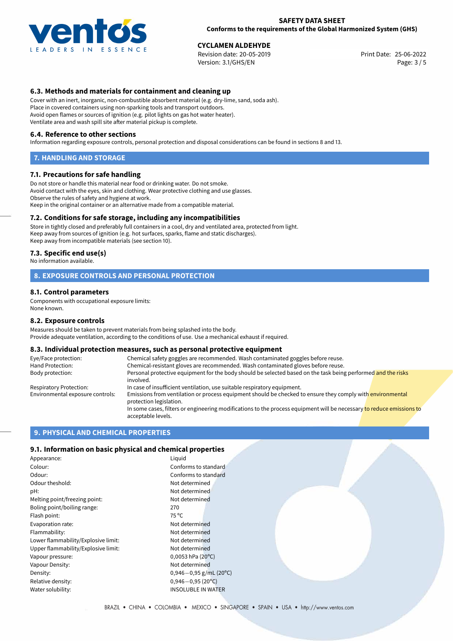

25-06-2022 **CYCLAMEN ALDEHYDE** Revision date: 20-05-2019 Print Date: Version: 3.1/GHS/EN Page: 3 / 5

#### **6.3. Methods and materials for containment and cleaning up**

Cover with an inert, inorganic, non-combustible absorbent material (e.g. dry-lime, sand, soda ash). Place in covered containers using non-sparking tools and transport outdoors. Avoid open flames or sources of ignition (e.g. pilot lights on gas hot water heater). Ventilate area and wash spill site after material pickup is complete.

#### **6.4. Reference to other sections**

Information regarding exposure controls, personal protection and disposal considerations can be found in sections 8 and 13.

#### **7. HANDLING AND STORAGE**

#### **7.1. Precautions for safe handling**

Do not store or handle this material near food or drinking water. Do not smoke. Avoid contact with the eyes, skin and clothing. Wear protective clothing and use glasses. Observe the rules of safety and hygiene at work. Keep in the original container or an alternative made from a compatible material.

#### **7.2. Conditions for safe storage, including any incompatibilities**

Store in tightly closed and preferably full containers in a cool, dry and ventilated area, protected from light. Keep away from sources of ignition (e.g. hot surfaces, sparks, flame and static discharges). Keep away from incompatible materials (see section 10).

#### **7.3. Specific end use(s)**

No information available.

#### **8. EXPOSURE CONTROLS AND PERSONAL PROTECTION**

#### **8.1. Control parameters**

Components with occupational exposure limits: None known.

#### **8.2. Exposure controls**

Measures should be taken to prevent materials from being splashed into the body. Provide adequate ventilation, according to the conditions of use. Use a mechanical exhaust if required.

#### **8.3. Individual protection measures, such as personal protective equipment**

| Eye/Face protection:             | Chemical safety goggles are recommended. Wash contaminated goggles before reuse.                                                            |
|----------------------------------|---------------------------------------------------------------------------------------------------------------------------------------------|
| Hand Protection:                 | Chemical-resistant gloves are recommended. Wash contaminated gloves before reuse.                                                           |
| Body protection:                 | Personal protective equipment for the body should be selected based on the task being performed and the risks<br>involved.                  |
| Respiratory Protection:          | In case of insufficient ventilation, use suitable respiratory equipment.                                                                    |
| Environmental exposure controls: | Emissions from ventilation or process equipment should be checked to ensure they comply with environmental<br>protection legislation.       |
|                                  | In some cases, filters or engineering modifications to the process equipment will be necessary to reduce emissions to<br>acceptable levels. |

#### **9. PHYSICAL AND CHEMICAL PROPERTIES**

#### **9.1. Information on basic physical and chemical properties**

| Appearance:                         | Liguid                         |
|-------------------------------------|--------------------------------|
| Colour:                             | Conforms to standard           |
| Odour:                              | Conforms to standard           |
| Odour theshold:                     | Not determined                 |
| pH:                                 | Not determined                 |
| Melting point/freezing point:       | Not determined                 |
| Boling point/boiling range:         | 270                            |
| Flash point:                        | $75^{\circ}$ C                 |
| Evaporation rate:                   | Not determined                 |
| Flammability:                       | Not determined                 |
| Lower flammability/Explosive limit: | Not determined                 |
| Upper flammability/Explosive limit: | Not determined                 |
| Vapour pressure:                    | $0,0053$ hPa (20 $^{\circ}$ C) |
| Vapour Density:                     | Not determined                 |
| Density:                            | $0,946 - 0,95$ g/mL (20°C)     |
| Relative density:                   | $0,946 - 0,95(20^{\circ}C)$    |
| Water solubility:                   | <b>INSOLUBLE IN WATER</b>      |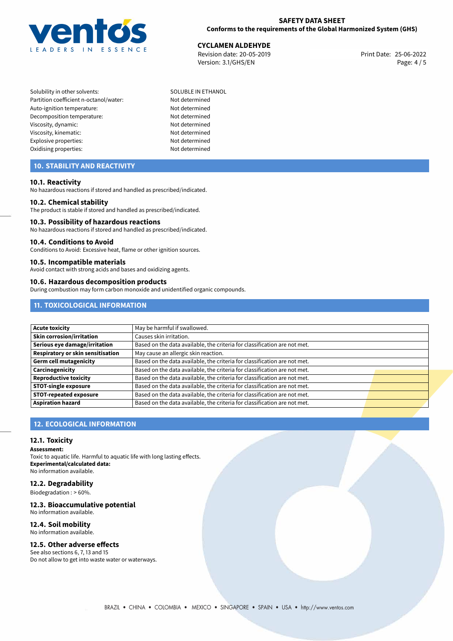

# **CYCLAMEN ALDEHYDE**<br>
Revision date: 20-05-2019<br> **CYCLAMEN ALDEHYDE**<br> **CYCLAMEN ALDEHYDE**

Revision date: 20-05-2019 Version: 3.1/GHS/EN Page: 4 / 5

Solubility in other solvents: SOLUBLE IN ETHANOL Partition coefficient n-octanol/water: Not determined Auto-ignition temperature: Not determined Decomposition temperature: Not determined Viscosity, dynamic: Not determined Viscosity, kinematic: Not determined Explosive properties: Not determined Oxidising properties: Not determined

# **10. STABILITY AND REACTIVITY**

#### **10.1. Reactivity**

No hazardous reactions if stored and handled as prescribed/indicated.

#### **10.2. Chemical stability**

The product is stable if stored and handled as prescribed/indicated.

#### **10.3. Possibility of hazardous reactions**

No hazardous reactions if stored and handled as prescribed/indicated.

#### **10.4. Conditions to Avoid**

Conditions to Avoid: Excessive heat, flame or other ignition sources.

#### **10.5. Incompatible materials**

Avoid contact with strong acids and bases and oxidizing agents.

#### **10.6. Hazardous decomposition products**

During combustion may form carbon monoxide and unidentified organic compounds.

## **11. TOXICOLOGICAL INFORMATION**

| <b>Acute toxicity</b>             | May be harmful if swallowed.                                              |  |
|-----------------------------------|---------------------------------------------------------------------------|--|
| <b>Skin corrosion/irritation</b>  | Causes skin irritation.                                                   |  |
| Serious eye damage/irritation     | Based on the data available, the criteria for classification are not met. |  |
| Respiratory or skin sensitisation | May cause an allergic skin reaction.                                      |  |
| Germ cell mutagenicity            | Based on the data available, the criteria for classification are not met. |  |
| Carcinogenicity                   | Based on the data available, the criteria for classification are not met. |  |
| Reproductive toxicity             | Based on the data available, the criteria for classification are not met. |  |
| <b>STOT-single exposure</b>       | Based on the data available, the criteria for classification are not met. |  |
| <b>STOT-repeated exposure</b>     | Based on the data available, the criteria for classification are not met. |  |
| <b>Aspiration hazard</b>          | Based on the data available, the criteria for classification are not met. |  |

### **12. ECOLOGICAL INFORMATION**

#### **12.1. Toxicity**

**Assessment:**

Toxic to aquatic life. Harmful to aquatic life with long lasting effects. **Experimental/calculated data:** No information available.

#### **12.2. Degradability**

Biodegradation : > 60%.

#### **12.3. Bioaccumulative potential**

No information available.

#### **12.4. Soil mobility** No information available.

# **12.5. Other adverse effects**

See also sections 6, 7, 13 and 15 Do not allow to get into waste water or waterways.